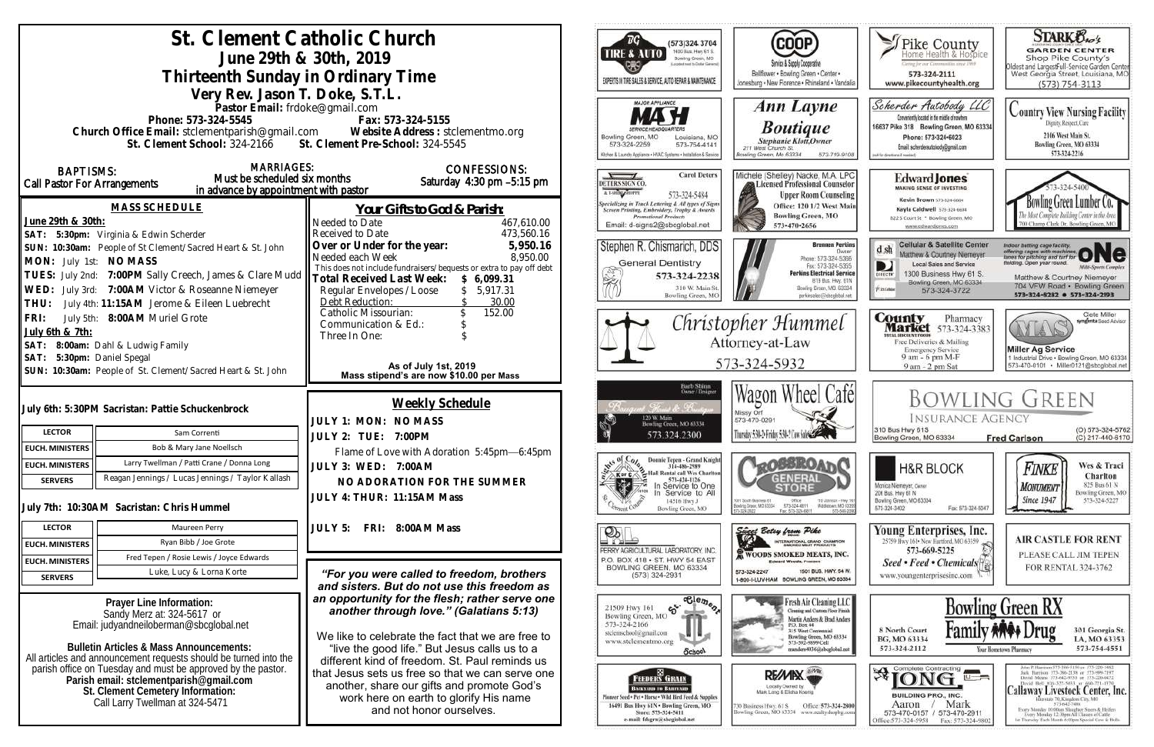| St. Clement Catholic Church<br>June 29th & 30th, 2019<br>Thirteenth Sunday in Ordinary Time                                                                                                                                                                                                                                                                                                                    |                                                                                            |                                                                                                                                                                                                                                                                                                                                                                                                                                                                          |                                     | ™G`<br>(573)324 3704<br>1400 Bus. Hwy 61 S.<br>TIRE & AUTO<br>Bowling Green, MO<br>coded next to Dollar General<br>EXPERTS IN TIRE SALES & SERVICE, AUTO REPAIR & MAINTENANCE                                | <b>COOP</b><br>Service & Supply Cooperative<br>Bellflower . Bowling Green . Center .                                                                                                                        | Thike County<br>Certag for our Communities smot 1969<br>573-324-2111                                                                                                                                                | <b>STARK Oxo's</b><br><b>GARDEN CENTER</b><br>Shop Pike County's<br>Oldest and Largesfull-Service Garden Center<br>West Georgia Street, Louisiana, MO                                                                                                                                                                                                                                                                          |
|----------------------------------------------------------------------------------------------------------------------------------------------------------------------------------------------------------------------------------------------------------------------------------------------------------------------------------------------------------------------------------------------------------------|--------------------------------------------------------------------------------------------|--------------------------------------------------------------------------------------------------------------------------------------------------------------------------------------------------------------------------------------------------------------------------------------------------------------------------------------------------------------------------------------------------------------------------------------------------------------------------|-------------------------------------|--------------------------------------------------------------------------------------------------------------------------------------------------------------------------------------------------------------|-------------------------------------------------------------------------------------------------------------------------------------------------------------------------------------------------------------|---------------------------------------------------------------------------------------------------------------------------------------------------------------------------------------------------------------------|--------------------------------------------------------------------------------------------------------------------------------------------------------------------------------------------------------------------------------------------------------------------------------------------------------------------------------------------------------------------------------------------------------------------------------|
|                                                                                                                                                                                                                                                                                                                                                                                                                |                                                                                            |                                                                                                                                                                                                                                                                                                                                                                                                                                                                          |                                     |                                                                                                                                                                                                              | Jonesburg . New Florence . Rhineland . Vandalia                                                                                                                                                             | www.pikecountyhealth.org                                                                                                                                                                                            | $(573) 754 - 3113$                                                                                                                                                                                                                                                                                                                                                                                                             |
| Very Rev. Jason T. Doke, S.T.L.<br>Pastor Email: frdoke@gmail.com<br>Phone: 573-324-5545<br>Fax: 573-324-5155<br>Church Office Email: stclementparish@gmail.com Website Address : stclementmo.org<br>St. Clement School: 324-2166 St. Clement Pre-School: 324-5545                                                                                                                                             |                                                                                            |                                                                                                                                                                                                                                                                                                                                                                                                                                                                          |                                     | <b>MAJOR APPLIANCE</b><br>Bowling Green, MO<br>Louisiana, MO<br>573-324-2259<br>573-754-4141<br>3chen & Launchy Appliance . HVAC Systems . Installation & Service                                            | Ann Layne<br><b>Boutique</b><br>Stephanie Klott, Owner<br>211 West Church St.<br>lowling Green, Mo 63334<br>573-719-9108                                                                                    | Scherder Autobody LLC<br>Conveniently located in the middle of nowhere<br>16637 Pike 318 Bowling Green, MO 63334<br>Phone: 573+324+6023<br>Email: scherderautobody@gmail.com<br>call for directions if meeted       | <b>Country View Nursing Facility</b><br>Dignity, Respect, Care<br>2106 West Main St.<br>Bowling Green, MO 63334<br>573-324-2216                                                                                                                                                                                                                                                                                                |
| <b>BAPTISMS:</b><br>Call Pastor For Arrangements                                                                                                                                                                                                                                                                                                                                                               | <b>MARRIAGES:</b><br>Must be scheduled six months<br>in advance by appointment with pastor | <b>CONFESSIONS:</b><br>Saturday 4:30 pm -5:15 pm                                                                                                                                                                                                                                                                                                                                                                                                                         | DETERS SIGN CO.<br>A T-SHING SHOPPE | <b>Carol Deters</b><br>573-324-5484                                                                                                                                                                          | Michele (Shelley) Nacke, M.A. LPC<br>Licensed Professional Counselor<br><b>Upper Room Counseling</b>                                                                                                        | <b>Edward Jones</b><br><b>MAKING SENSE OF INVESTING</b>                                                                                                                                                             |                                                                                                                                                                                                                                                                                                                                                                                                                                |
| <b>MASS SCHEDULE</b><br>June 29th & 30th:<br>SAT: 5:30pm: Virginia & Edwin Scherder<br>SUN: 10:30am: People of St Clement/Sacred Heart & St. John<br>MON: July 1st: NO MASS<br>TUES: July 2nd: 7:00PM Sally Creech, James & Clare Mudd<br>WED: July 3rd: 7:00AM Victor & Roseanne Niemeyer                                                                                                                     |                                                                                            | Your Gifts to God & Parish:<br>Needed to Date<br>467,610.00<br>Received to Date<br>473,560.16<br>5,950.16<br>Over or Under for the year:<br>8,950.00<br>Needed each Week<br>This does not include fundraisers/bequests or extra to pay off debt<br><b>Total Received Last Week:</b><br>\$6,099.31<br>5,917.31<br>Regular Envelopes / Loose<br>Debt Reduction:<br>30.00                                                                                                   |                                     | <b>Specializing in Truck Lettering &amp; All types of Signs</b><br>Screen Printing, Embroidery, Trophy & Awards<br><b>Promotional Products</b><br>Email: d-signs2@sbcglobal.net                              | Office: 120 1/2 West Main<br><b>Bowling Green, MO</b><br>573-470-2656                                                                                                                                       | Kevin Brown 573-324-6604<br>Kayla Caldwell 373-324-6604<br>822 S Court St * Bowling Green, MO<br>www.edwardjones.com                                                                                                | Bowling Green Lumber Co.<br>700 Champ Clark Dr. Bowling Green, M                                                                                                                                                                                                                                                                                                                                                               |
|                                                                                                                                                                                                                                                                                                                                                                                                                |                                                                                            |                                                                                                                                                                                                                                                                                                                                                                                                                                                                          |                                     | Stephen R. Chismarich, DDS<br><b>General Dentistry</b><br>573-324-2238<br>310 W. Main St<br>Bowling Green, MC                                                                                                | <b>Brennen Perkins</b><br>Dwner<br>Phone: 573-324-5366<br>Fax: 573-324-5355<br><b>Perkins Electrical Service</b><br>B19 Bus. Hwy. 61N<br>Bowling Green, MO. 63334<br>perkinselec@shoclobal.net              | <b>Cellular &amp; Satellite Center</b><br>$d \, sh$<br>Matthew & Courtney Niemeyer<br><b>Local Sales and Service</b><br>D<br>1300 Business Hwy 61 S.<br>Bowling Green, MO 63334<br><b>Xiatolulu</b><br>573-324-3722 | Indoor batting cage facility.<br>offering cages with machines ONC<br>lelding. Open year round.<br><b>Milti-Sparts Complex</b><br>Matthew & Courtney Niemeyer<br>704 VFW Road · Bowling Green<br>573-324-8282 0 573-324-2193                                                                                                                                                                                                    |
| THU: July 4th: 11:15AM Jerome & Eileen Luebrecht<br>FRI: July 5th: 8:00AM Muriel Grote<br>July 6th & 7th:<br>SAT: 8:00am: Dahl & Ludwig Family<br>SAT: 5:30pm: Daniel Spegal                                                                                                                                                                                                                                   |                                                                                            | 152.00<br>Catholic Missourian:<br>Communication & Ed.:<br>Three In One:<br>As of July 1st, 2019                                                                                                                                                                                                                                                                                                                                                                          |                                     |                                                                                                                                                                                                              | Christopher Hummel<br>Attorney-at-Law<br>573-324-5932                                                                                                                                                       | <b>County</b> Pharmacy<br><b>Market</b> 573-324-3383<br><b>ITAL BISCOUNT FOODS</b><br>Free Deliveries & Mailing<br><b>Emergency Service</b><br>9 am - 6 pm M-F<br>9 am - 2 pm Sat                                   | Clete Miller<br>syngenta Sood Adviso<br>AYLA<br><b>Miller Ag Service</b><br>1 Industrial Drive . Bowling Green, MO 63334<br>573-470-0101 Miller0121@sbcglobal.net                                                                                                                                                                                                                                                              |
|                                                                                                                                                                                                                                                                                                                                                                                                                | SUN: 10:30am: People of St. Clement/Sacred Heart & St. John                                | Mass stipend's are now \$10.00 per Mass                                                                                                                                                                                                                                                                                                                                                                                                                                  |                                     |                                                                                                                                                                                                              |                                                                                                                                                                                                             |                                                                                                                                                                                                                     |                                                                                                                                                                                                                                                                                                                                                                                                                                |
| <b>LECTOR</b>                                                                                                                                                                                                                                                                                                                                                                                                  | July 6th: 5:30PM Sacristan: Pattie Schuckenbrock<br>Sam Correnti                           | Weekly Schedule<br>JULY 1: MON: NO MASS<br>JULY 2: TUE: 7:00PM                                                                                                                                                                                                                                                                                                                                                                                                           |                                     | Barb Shinn<br>Owner/Designer<br>t. Florida de Brentin<br>120 W. Main<br>Bowling Green, MO 63334<br>573.324.2300                                                                                              | Wagon Wheel Cafél<br>Missy Orf<br>573-470-0291<br>Thursday 5:30-2: Friday 5:30-2 Cow Sales Com                                                                                                              | <b>INSURANCE AGENCY</b><br>310 Bus Hwy 61S<br>Bowling Green, MO 63334                                                                                                                                               | <b>BOWLING GREEN</b><br>(O) 573-324-5762<br>(C) 217-440-6170<br><b>Fred Carlson</b>                                                                                                                                                                                                                                                                                                                                            |
| <b>EUCH. MINISTERS</b>                                                                                                                                                                                                                                                                                                                                                                                         | Bob & Mary Jane Noellsch                                                                   | Flame of Love with Adoration 5:45pm-6:45pm                                                                                                                                                                                                                                                                                                                                                                                                                               |                                     |                                                                                                                                                                                                              |                                                                                                                                                                                                             |                                                                                                                                                                                                                     |                                                                                                                                                                                                                                                                                                                                                                                                                                |
| <b>EUCH. MINISTERS</b>                                                                                                                                                                                                                                                                                                                                                                                         | Larry Twellman / Patti Crane / Donna Long                                                  | JULY 3: WED: 7:00AM                                                                                                                                                                                                                                                                                                                                                                                                                                                      | $W^{15}$ of $C$                     | Donnie Tepen - Grand Knight<br>314-486-2989<br>Hall Rental call Wes Charlton                                                                                                                                 | <b>LOOBBROAT</b>                                                                                                                                                                                            | <b>H&amp;R BLOCK</b>                                                                                                                                                                                                | Wes & Traci<br>Finke                                                                                                                                                                                                                                                                                                                                                                                                           |
| <b>SERVERS</b>                                                                                                                                                                                                                                                                                                                                                                                                 | Reagan Jennings / Lucas Jennings / Taylor Kallash                                          | NO ADORATION FOR THE SUMMER                                                                                                                                                                                                                                                                                                                                                                                                                                              | <b>KorC</b><br> ⊹                   | 573-424-1126<br>In Service to One                                                                                                                                                                            | <b>GENERAL</b>                                                                                                                                                                                              | Monica Niemeyer, Owner                                                                                                                                                                                              | Charlton<br>825 Bus 61 N<br><b>MONUMENT</b>                                                                                                                                                                                                                                                                                                                                                                                    |
|                                                                                                                                                                                                                                                                                                                                                                                                                | July 7th: 10:30AM Sacristan: Chris Hummel                                                  | JULY 4: THUR: 11:15AM Mass                                                                                                                                                                                                                                                                                                                                                                                                                                               |                                     | Service to All<br>14516 Hwy J<br>Bowling Green, MO                                                                                                                                                           | 1001 South Business 61<br>Ofice<br>110 Johnson - Hwy 10<br>573-324-6811<br>Bowling Grace, MD 63304<br>Middietown, MD-6335<br>Fax: 573-324-6811<br>573-549-209                                               | 206 Bus. Hwy 61 N<br>Bowling Green, MO 63334<br>Fax: 573-324-5047<br>573-324-3402                                                                                                                                   | Bowling Green, MO<br><b>Since 1947</b><br>573-324-5227                                                                                                                                                                                                                                                                                                                                                                         |
| <b>LECTOR</b>                                                                                                                                                                                                                                                                                                                                                                                                  | Maureen Perry                                                                              | FRI: 8:00AM Mass<br>JULY 5:                                                                                                                                                                                                                                                                                                                                                                                                                                              | ೨೩⊥                                 |                                                                                                                                                                                                              | Since Belay from Pike                                                                                                                                                                                       | Young Enterprises, Inc.                                                                                                                                                                                             |                                                                                                                                                                                                                                                                                                                                                                                                                                |
| <b>EUCH. MINISTERS</b>                                                                                                                                                                                                                                                                                                                                                                                         | Ryan Bibb / Joe Grote                                                                      |                                                                                                                                                                                                                                                                                                                                                                                                                                                                          |                                     | PERRY AGRICULTURAL LABORATORY, INC.                                                                                                                                                                          | INTERNATIONAL GRAND CHAMPION                                                                                                                                                                                | 25759 Hwy 161 - New Hartford, MO 63359<br>573-669-5225                                                                                                                                                              | <b>AIR CASTLE FOR RENT</b>                                                                                                                                                                                                                                                                                                                                                                                                     |
| <b>EUCH. MINISTERS</b>                                                                                                                                                                                                                                                                                                                                                                                         | Fred Tepen / Rosie Lewis / Joyce Edwards                                                   |                                                                                                                                                                                                                                                                                                                                                                                                                                                                          |                                     | P.O. BOX 418 . ST. HWY 54 EAST<br>BOWLING GREEN, MO 63334                                                                                                                                                    | <b>WOODS SMOKED MEATS, INC.</b><br><b>Edward Woods, President</b>                                                                                                                                           | Seed • Feed • Chemicals                                                                                                                                                                                             | PLEASE CALL JIM TEPEN<br>FOR RENTAL 324-3762                                                                                                                                                                                                                                                                                                                                                                                   |
| <b>SERVERS</b>                                                                                                                                                                                                                                                                                                                                                                                                 | Luke, Lucy & Lorna Korte                                                                   | "For you were called to freedom, brothers                                                                                                                                                                                                                                                                                                                                                                                                                                |                                     | $(573)$ 324-2931                                                                                                                                                                                             | 1501 BUS, HWY, 54 W.<br>573-324-2247<br>1-800-I-LUV-HAM BOWLING GREEN, MO 63334                                                                                                                             | www.youngenterprisesinc.com                                                                                                                                                                                         |                                                                                                                                                                                                                                                                                                                                                                                                                                |
| Prayer Line Information:<br>Sandy Merz at: 324-5617 or<br>Email: judyandneiloberman@sbcglobal.net<br><b>Bulletin Articles &amp; Mass Announcements:</b><br>All articles and announcement requests should be turned into the<br>parish office on Tuesday and must be approved by the pastor.<br>Parish email: stclementparish@gmail.com<br>St. Clement Cemetery Information:<br>Call Larry Twellman at 324-5471 |                                                                                            | and sisters. But do not use this freedom as<br>an opportunity for the flesh; rather serve one<br>another through love." (Galatians 5:13)<br>We like to celebrate the fact that we are free to<br>"live the good life." But Jesus calls us to a<br>different kind of freedom. St. Paul reminds us<br>that Jesus sets us free so that we can serve one<br>another, share our gifts and promote God's<br>work here on earth to glorify His name<br>and not honor ourselves. | 573-324-2166                        | $\overline{\text{e}^{\text{le}}_{\text{e}}\text{e}_{\text{m}}\text{e}_{\text{o}}}$<br>$\mathfrak{S}$<br>21509 Hwy 161<br>Bowling Green, MO<br>stelemschool@gmail.com<br>www.stclementmo.org<br><b>School</b> | Fresh Air Cleaning LLC<br>Cleaning and Custom Floor Finish<br>Martin Anders & Brad Anders<br>P.O. Box 44<br>315 West Centennial<br>Bowling Green, MO 63334<br>573-592-9899 Cell<br>nanders4036@sbcglobal.ne | 8 North Court<br>BG, MO 63334<br>573-324-2112                                                                                                                                                                       | <b>Bowling Green RX</b><br>301 Georgia St.<br>LA, MO 63353<br>573-754-4551<br>Your Hometown Pharmacy                                                                                                                                                                                                                                                                                                                           |
|                                                                                                                                                                                                                                                                                                                                                                                                                |                                                                                            |                                                                                                                                                                                                                                                                                                                                                                                                                                                                          |                                     | <b>FEEDERS GRAIN</b><br><b>BACKYARD TO BARNVARD</b><br>Seed + Pet . Horse . Wild Hird Feed & Supplies<br>16491 Bus Hwy 61N . Bowling Green, MO<br>Store: 573-324-5411<br>e-mail: fdsgrn@sbcglobal.net        | RE/MIX<br>Locally Owned by<br>Mark Long & Elisha Koonig<br>Office: 573-324-2800<br>30 Business Hwy, 61 S<br>Bowling Green, MO 63334 www.realtyshopbg.com                                                    | $\mathbf{R}$ complete Contracting<br><b>BUILDING PRO., INC.</b><br>Mark<br>Aaron<br>573-470-0157 / 573-470-2911<br>Office:573-324-5958<br>Fax: 573-324-980                                                          | John P. Harrison, 573-386-5150 or 573-220-1482<br>Jack Hurrison 573-386-2138 or 573-999-7197<br>David Means 573-642-9753 st 573-220-0472<br>David Bell 816-527-5633 or 660-721-1370<br>Callaway Livestock Center, Inc.<br>erstate 70, Kingdoni City, MO<br>573-642-7486<br>Every Monday 10:00am Sloughor Steers & Heifers<br>Every Merakov 12:30pm All Classes of Cattle<br>at Thursday Each Month 6:00pm Special Cow & Bulls. |